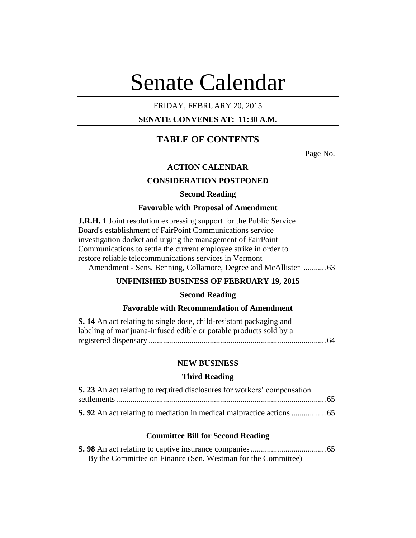# Senate Calendar

## FRIDAY, FEBRUARY 20, 2015

## **SENATE CONVENES AT: 11:30 A.M.**

# **TABLE OF CONTENTS**

Page No.

## **ACTION CALENDAR**

## **CONSIDERATION POSTPONED**

#### **Second Reading**

#### **Favorable with Proposal of Amendment**

**J.R.H. 1** Joint resolution expressing support for the Public Service Board's establishment of FairPoint Communications service investigation docket and urging the management of FairPoint Communications to settle the current employee strike in order to restore reliable telecommunications services in Vermont Amendment - Sens. Benning, Collamore, Degree and McAllister ...........63

## **UNFINISHED BUSINESS OF FEBRUARY 19, 2015**

### **Second Reading**

## **Favorable with Recommendation of Amendment**

| <b>S.</b> 14 An act relating to single dose, child-resistant packaging and |  |
|----------------------------------------------------------------------------|--|
| labeling of marijuana-infused edible or potable products sold by a         |  |
|                                                                            |  |

## **NEW BUSINESS**

#### **Third Reading**

| S. 23 An act relating to required disclosures for workers' compensation |  |
|-------------------------------------------------------------------------|--|
|                                                                         |  |
|                                                                         |  |

#### **Committee Bill for Second Reading**

| By the Committee on Finance (Sen. Westman for the Committee) |  |
|--------------------------------------------------------------|--|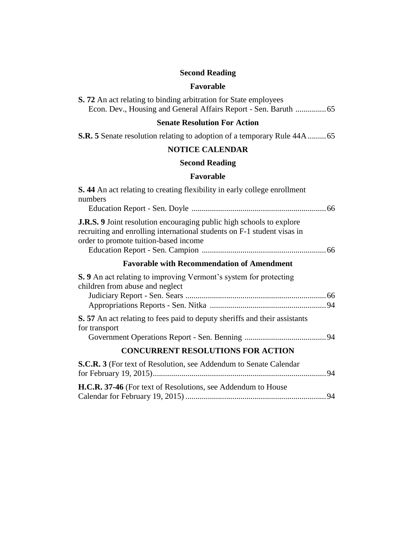# **Second Reading**

## **Favorable**

|  |  |  | <b>S. 72</b> An act relating to binding arbitration for State employees |  |  |  |
|--|--|--|-------------------------------------------------------------------------|--|--|--|
|  |  |  |                                                                         |  |  |  |

# **Senate Resolution For Action**

**S.R. 5** Senate resolution relating to adoption of a temporary Rule 44A.........65

## **NOTICE CALENDAR**

# **Second Reading**

## **Favorable**

| <b>S.</b> 44 An act relating to creating flexibility in early college enrollment<br>numbers                                                                                                     |
|-------------------------------------------------------------------------------------------------------------------------------------------------------------------------------------------------|
|                                                                                                                                                                                                 |
| <b>J.R.S.</b> 9 Joint resolution encouraging public high schools to explore<br>recruiting and enrolling international students on F-1 student visas in<br>order to promote tuition-based income |
| <b>Favorable with Recommendation of Amendment</b>                                                                                                                                               |
| <b>S.</b> 9 An act relating to improving Vermont's system for protecting<br>children from abuse and neglect                                                                                     |
|                                                                                                                                                                                                 |
| <b>S.</b> 57 An act relating to fees paid to deputy sheriffs and their assistants<br>for transport                                                                                              |
|                                                                                                                                                                                                 |
| <b>CONCURRENT RESOLUTIONS FOR ACTION</b>                                                                                                                                                        |
| <b>S.C.R. 3</b> (For text of Resolution, see Addendum to Senate Calendar                                                                                                                        |
| <b>H.C.R. 37-46</b> (For text of Resolutions, see Addendum to House                                                                                                                             |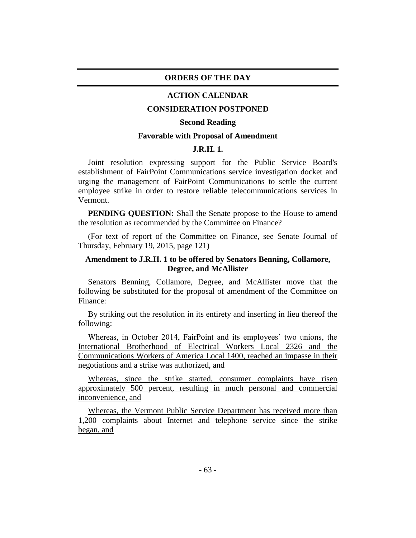#### **ORDERS OF THE DAY**

#### **ACTION CALENDAR**

#### **CONSIDERATION POSTPONED**

#### **Second Reading**

#### **Favorable with Proposal of Amendment**

#### **J.R.H. 1.**

Joint resolution expressing support for the Public Service Board's establishment of FairPoint Communications service investigation docket and urging the management of FairPoint Communications to settle the current employee strike in order to restore reliable telecommunications services in Vermont.

**PENDING QUESTION:** Shall the Senate propose to the House to amend the resolution as recommended by the Committee on Finance?

(For text of report of the Committee on Finance, see Senate Journal of Thursday, February 19, 2015, page 121)

## **Amendment to J.R.H. 1 to be offered by Senators Benning, Collamore, Degree, and McAllister**

Senators Benning, Collamore, Degree, and McAllister move that the following be substituted for the proposal of amendment of the Committee on Finance:

By striking out the resolution in its entirety and inserting in lieu thereof the following:

Whereas, in October 2014, FairPoint and its employees' two unions, the International Brotherhood of Electrical Workers Local 2326 and the Communications Workers of America Local 1400, reached an impasse in their negotiations and a strike was authorized, and

Whereas, since the strike started, consumer complaints have risen approximately 500 percent, resulting in much personal and commercial inconvenience, and

Whereas, the Vermont Public Service Department has received more than 1,200 complaints about Internet and telephone service since the strike began, and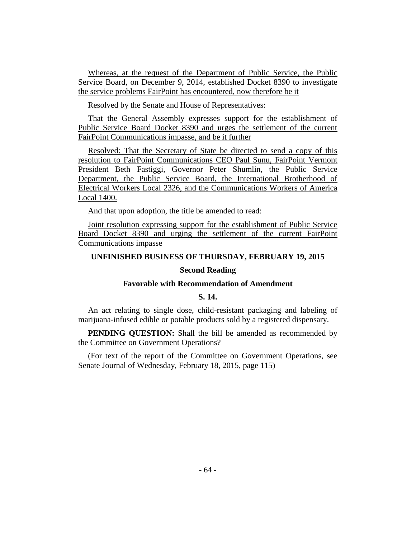Whereas, at the request of the Department of Public Service, the Public Service Board, on December 9, 2014, established Docket 8390 to investigate the service problems FairPoint has encountered, now therefore be it

Resolved by the Senate and House of Representatives:

That the General Assembly expresses support for the establishment of Public Service Board Docket 8390 and urges the settlement of the current FairPoint Communications impasse, and be it further

Resolved: That the Secretary of State be directed to send a copy of this resolution to FairPoint Communications CEO Paul Sunu, FairPoint Vermont President Beth Fastiggi, Governor Peter Shumlin, the Public Service Department, the Public Service Board, the International Brotherhood of Electrical Workers Local 2326, and the Communications Workers of America Local 1400.

And that upon adoption, the title be amended to read:

Joint resolution expressing support for the establishment of Public Service Board Docket 8390 and urging the settlement of the current FairPoint Communications impasse

#### **UNFINISHED BUSINESS OF THURSDAY, FEBRUARY 19, 2015**

#### **Second Reading**

#### **Favorable with Recommendation of Amendment**

#### **S. 14.**

An act relating to single dose, child-resistant packaging and labeling of marijuana-infused edible or potable products sold by a registered dispensary.

**PENDING QUESTION:** Shall the bill be amended as recommended by the Committee on Government Operations?

(For text of the report of the Committee on Government Operations, see Senate Journal of Wednesday, February 18, 2015, page 115)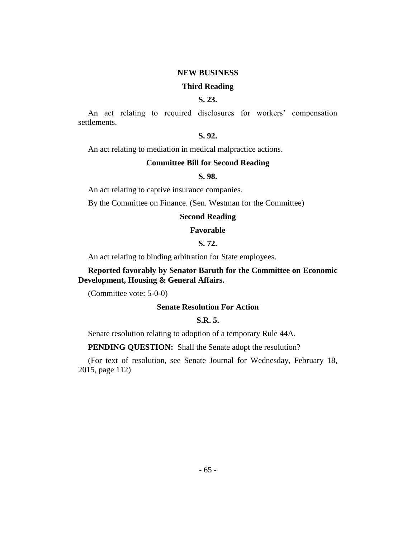#### **NEW BUSINESS**

#### **Third Reading**

## **S. 23.**

An act relating to required disclosures for workers' compensation settlements.

## **S. 92.**

An act relating to mediation in medical malpractice actions.

## **Committee Bill for Second Reading**

#### **S. 98.**

An act relating to captive insurance companies.

By the Committee on Finance. (Sen. Westman for the Committee)

## **Second Reading**

#### **Favorable**

## **S. 72.**

An act relating to binding arbitration for State employees.

## **Reported favorably by Senator Baruth for the Committee on Economic Development, Housing & General Affairs.**

(Committee vote: 5-0-0)

#### **Senate Resolution For Action**

### **S.R. 5.**

Senate resolution relating to adoption of a temporary Rule 44A.

#### **PENDING QUESTION:** Shall the Senate adopt the resolution?

(For text of resolution, see Senate Journal for Wednesday, February 18, 2015, page 112)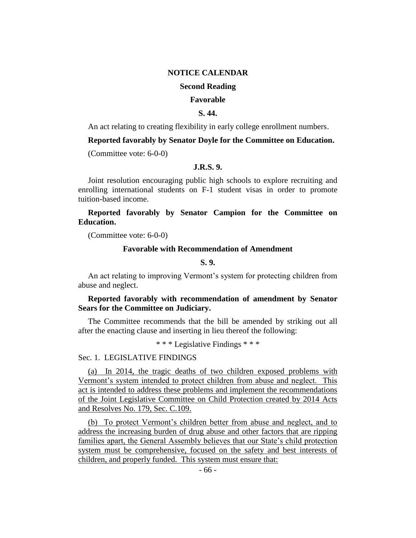#### **NOTICE CALENDAR**

## **Second Reading**

#### **Favorable**

## **S. 44.**

An act relating to creating flexibility in early college enrollment numbers.

## **Reported favorably by Senator Doyle for the Committee on Education.**

(Committee vote: 6-0-0)

#### **J.R.S. 9.**

Joint resolution encouraging public high schools to explore recruiting and enrolling international students on F-1 student visas in order to promote tuition-based income.

**Reported favorably by Senator Campion for the Committee on Education.**

(Committee vote: 6-0-0)

#### **Favorable with Recommendation of Amendment**

## **S. 9.**

An act relating to improving Vermont's system for protecting children from abuse and neglect.

## **Reported favorably with recommendation of amendment by Senator Sears for the Committee on Judiciary.**

The Committee recommends that the bill be amended by striking out all after the enacting clause and inserting in lieu thereof the following:

\* \* \* Legislative Findings \* \* \*

#### Sec. 1. LEGISLATIVE FINDINGS

(a) In 2014, the tragic deaths of two children exposed problems with Vermont's system intended to protect children from abuse and neglect. This act is intended to address these problems and implement the recommendations of the Joint Legislative Committee on Child Protection created by 2014 Acts and Resolves No. 179, Sec. C.109.

(b) To protect Vermont's children better from abuse and neglect, and to address the increasing burden of drug abuse and other factors that are ripping families apart, the General Assembly believes that our State's child protection system must be comprehensive, focused on the safety and best interests of children, and properly funded. This system must ensure that: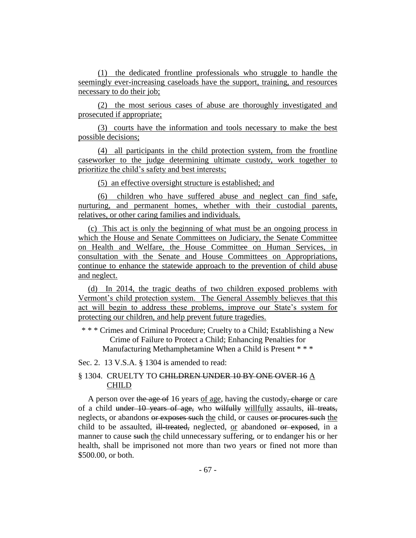(1) the dedicated frontline professionals who struggle to handle the seemingly ever-increasing caseloads have the support, training, and resources necessary to do their job;

(2) the most serious cases of abuse are thoroughly investigated and prosecuted if appropriate;

(3) courts have the information and tools necessary to make the best possible decisions;

(4) all participants in the child protection system, from the frontline caseworker to the judge determining ultimate custody, work together to prioritize the child's safety and best interests;

(5) an effective oversight structure is established; and

(6) children who have suffered abuse and neglect can find safe, nurturing, and permanent homes, whether with their custodial parents, relatives, or other caring families and individuals.

(c) This act is only the beginning of what must be an ongoing process in which the House and Senate Committees on Judiciary, the Senate Committee on Health and Welfare, the House Committee on Human Services, in consultation with the Senate and House Committees on Appropriations, continue to enhance the statewide approach to the prevention of child abuse and neglect.

(d) In 2014, the tragic deaths of two children exposed problems with Vermont's child protection system. The General Assembly believes that this act will begin to address these problems, improve our State's system for protecting our children, and help prevent future tragedies.

\* \* \* Crimes and Criminal Procedure; Cruelty to a Child; Establishing a New Crime of Failure to Protect a Child; Enhancing Penalties for Manufacturing Methamphetamine When a Child is Present \* \* \*

Sec. 2. 13 V.S.A. § 1304 is amended to read:

## § 1304. CRUELTY TO CHILDREN UNDER 10 BY ONE OVER 16 A CHILD

A person over the age of 16 years of age, having the custody, charge or care of a child under 10 years of age, who wilfully willfully assaults, ill treats, neglects, or abandons or exposes such the child, or causes or procures such the child to be assaulted, ill-treated, neglected, or abandoned or exposed, in a manner to cause such the child unnecessary suffering, or to endanger his or her health, shall be imprisoned not more than two years or fined not more than \$500.00, or both.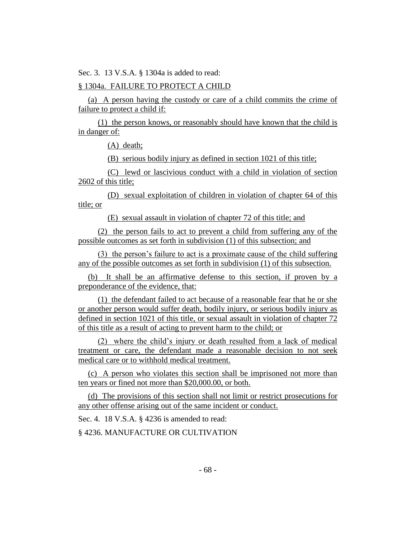Sec. 3. 13 V.S.A. § 1304a is added to read:

## § 1304a. FAILURE TO PROTECT A CHILD

(a) A person having the custody or care of a child commits the crime of failure to protect a child if:

(1) the person knows, or reasonably should have known that the child is in danger of:

(A) death;

(B) serious bodily injury as defined in section 1021 of this title;

(C) lewd or lascivious conduct with a child in violation of section 2602 of this title;

(D) sexual exploitation of children in violation of chapter 64 of this title; or

(E) sexual assault in violation of chapter 72 of this title; and

(2) the person fails to act to prevent a child from suffering any of the possible outcomes as set forth in subdivision (1) of this subsection; and

(3) the person's failure to act is a proximate cause of the child suffering any of the possible outcomes as set forth in subdivision (1) of this subsection.

(b) It shall be an affirmative defense to this section, if proven by a preponderance of the evidence, that:

(1) the defendant failed to act because of a reasonable fear that he or she or another person would suffer death, bodily injury, or serious bodily injury as defined in section 1021 of this title, or sexual assault in violation of chapter 72 of this title as a result of acting to prevent harm to the child; or

(2) where the child's injury or death resulted from a lack of medical treatment or care, the defendant made a reasonable decision to not seek medical care or to withhold medical treatment.

(c) A person who violates this section shall be imprisoned not more than ten years or fined not more than \$20,000.00, or both.

(d) The provisions of this section shall not limit or restrict prosecutions for any other offense arising out of the same incident or conduct.

Sec. 4. 18 V.S.A. § 4236 is amended to read:

§ 4236. MANUFACTURE OR CULTIVATION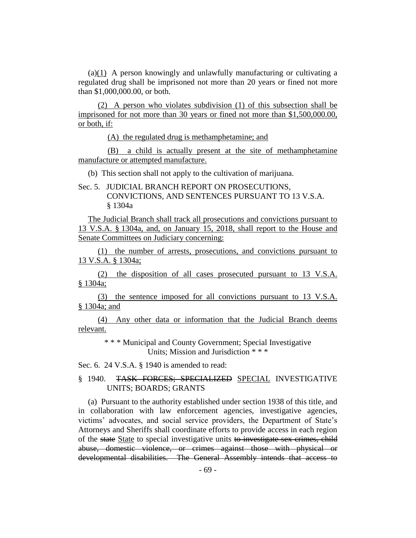(a)(1) A person knowingly and unlawfully manufacturing or cultivating a regulated drug shall be imprisoned not more than 20 years or fined not more than \$1,000,000.00, or both.

(2) A person who violates subdivision (1) of this subsection shall be imprisoned for not more than 30 years or fined not more than \$1,500,000.00, or both, if:

(A) the regulated drug is methamphetamine; and

(B) a child is actually present at the site of methamphetamine manufacture or attempted manufacture.

(b) This section shall not apply to the cultivation of marijuana.

Sec. 5. JUDICIAL BRANCH REPORT ON PROSECUTIONS, CONVICTIONS, AND SENTENCES PURSUANT TO 13 V.S.A. § 1304a

The Judicial Branch shall track all prosecutions and convictions pursuant to 13 V.S.A. § 1304a, and, on January 15, 2018, shall report to the House and Senate Committees on Judiciary concerning:

(1) the number of arrests, prosecutions, and convictions pursuant to 13 V.S.A. § 1304a;

(2) the disposition of all cases prosecuted pursuant to 13 V.S.A. § 1304a;

(3) the sentence imposed for all convictions pursuant to 13 V.S.A. § 1304a; and

(4) Any other data or information that the Judicial Branch deems relevant.

\* \* \* [Municipal and County Government;](http://vtleg.bluehousegroup.com/statutes/title/24) Special Investigative Units; Mission and Jurisdiction \* \* \*

Sec. 6. 24 V.S.A. § 1940 is amended to read:

## § 1940. TASK FORCES; SPECIALIZED SPECIAL INVESTIGATIVE UNITS; BOARDS; GRANTS

(a) Pursuant to the authority established under section 1938 of this title, and in collaboration with law enforcement agencies, investigative agencies, victims' advocates, and social service providers, the Department of State's Attorneys and Sheriffs shall coordinate efforts to provide access in each region of the state State to special investigative units to investigate sex crimes, child abuse, domestic violence, or crimes against those with physical or developmental disabilities. The General Assembly intends that access to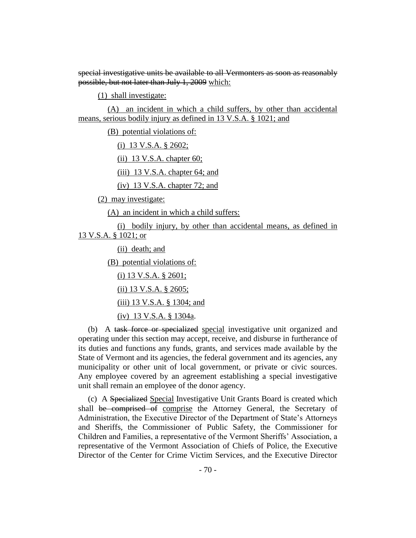special investigative units be available to all Vermonters as soon as reasonably possible, but not later than July 1, 2009 which:

(1) shall investigate:

(A) an incident in which a child suffers, by other than accidental means, serious bodily injury as defined in 13 V.S.A. § 1021; and

(B) potential violations of:

(i) 13 V.S.A. § 2602;

(ii) 13 V.S.A. chapter 60;

(iii) 13 V.S.A. chapter 64; and

(iv) 13 V.S.A. chapter 72; and

(2) may investigate:

(A) an incident in which a child suffers:

(i) bodily injury, by other than accidental means, as defined in 13 V.S.A. § 1021; or

(ii) death; and

(B) potential violations of:

(i) 13 V.S.A. § 2601;

(ii) 13 V.S.A. § 2605;

(iii) 13 V.S.A. § 1304; and

(iv) 13 V.S.A. § 1304a.

(b) A task force or specialized special investigative unit organized and operating under this section may accept, receive, and disburse in furtherance of its duties and functions any funds, grants, and services made available by the State of Vermont and its agencies, the federal government and its agencies, any municipality or other unit of local government, or private or civic sources. Any employee covered by an agreement establishing a special investigative unit shall remain an employee of the donor agency.

(c) A Specialized Special Investigative Unit Grants Board is created which shall be comprised of comprise the Attorney General, the Secretary of Administration, the Executive Director of the Department of State's Attorneys and Sheriffs, the Commissioner of Public Safety, the Commissioner for Children and Families, a representative of the Vermont Sheriffs' Association, a representative of the Vermont Association of Chiefs of Police, the Executive Director of the Center for Crime Victim Services, and the Executive Director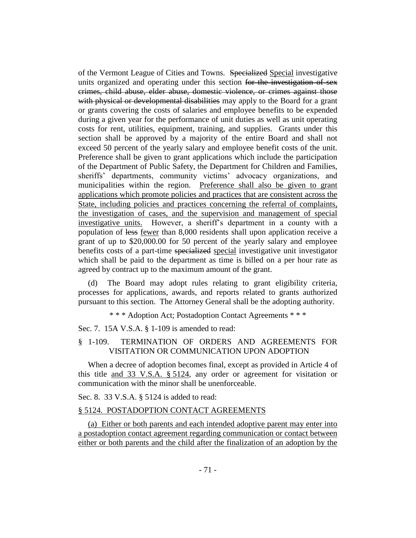of the Vermont League of Cities and Towns. Specialized Special investigative units organized and operating under this section for the investigation of sex crimes, child abuse, elder abuse, domestic violence, or crimes against those with physical or developmental disabilities may apply to the Board for a grant or grants covering the costs of salaries and employee benefits to be expended during a given year for the performance of unit duties as well as unit operating costs for rent, utilities, equipment, training, and supplies. Grants under this section shall be approved by a majority of the entire Board and shall not exceed 50 percent of the yearly salary and employee benefit costs of the unit. Preference shall be given to grant applications which include the participation of the Department of Public Safety, the Department for Children and Families, sheriffs' departments, community victims' advocacy organizations, and municipalities within the region. Preference shall also be given to grant applications which promote policies and practices that are consistent across the State, including policies and practices concerning the referral of complaints, the investigation of cases, and the supervision and management of special investigative units. However, a sheriff's department in a county with a population of less fewer than 8,000 residents shall upon application receive a grant of up to \$20,000.00 for 50 percent of the yearly salary and employee benefits costs of a part-time specialized special investigative unit investigator which shall be paid to the department as time is billed on a per hour rate as agreed by contract up to the maximum amount of the grant.

The Board may adopt rules relating to grant eligibility criteria, processes for applications, awards, and reports related to grants authorized pursuant to this section. The Attorney General shall be the adopting authority.

\* \* \* Adoption Act; Postadoption Contact Agreements \* \* \*

Sec. 7. 15A V.S.A. § 1-109 is amended to read:

## § 1-109. TERMINATION OF ORDERS AND AGREEMENTS FOR VISITATION OR COMMUNICATION UPON ADOPTION

When a decree of adoption becomes final, except as provided in Article 4 of this title and 33 V.S.A. § 5124, any order or agreement for visitation or communication with the minor shall be unenforceable.

Sec. 8. 33 V.S.A. § 5124 is added to read:

#### § 5124. POSTADOPTION CONTACT AGREEMENTS

(a) Either or both parents and each intended adoptive parent may enter into a postadoption contact agreement regarding communication or contact between either or both parents and the child after the finalization of an adoption by the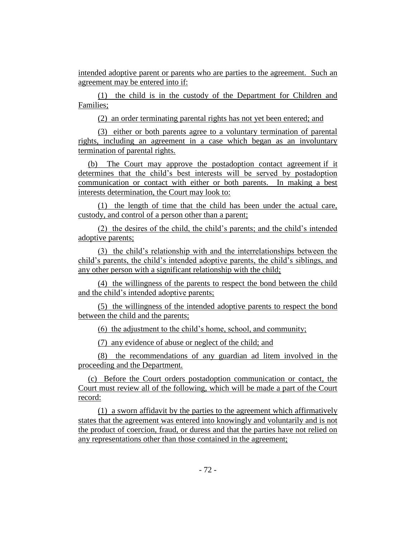intended adoptive parent or parents who are parties to the agreement. Such an agreement may be entered into if:

(1) the child is in the custody of the Department for Children and Families;

(2) an order terminating parental rights has not yet been entered; and

(3) either or both parents agree to a voluntary termination of parental rights, including an agreement in a case which began as an involuntary termination of parental rights.

(b) The Court may approve the postadoption contact agreement if it determines that the child's best interests will be served by postadoption communication or contact with either or both parents. In making a best interests determination, the Court may look to:

(1) the length of time that the child has been under the actual care, custody, and control of a person other than a parent;

(2) the desires of the child, the child's parents; and the child's intended adoptive parents;

(3) the child's relationship with and the interrelationships between the child's parents, the child's intended adoptive parents, the child's siblings, and any other person with a significant relationship with the child;

(4) the willingness of the parents to respect the bond between the child and the child's intended adoptive parents;

(5) the willingness of the intended adoptive parents to respect the bond between the child and the parents;

(6) the adjustment to the child's home, school, and community;

(7) any evidence of abuse or neglect of the child; and

(8) the recommendations of any guardian ad litem involved in the proceeding and the Department.

(c) Before the Court orders postadoption communication or contact, the Court must review all of the following, which will be made a part of the Court record:

(1) a sworn affidavit by the parties to the agreement which affirmatively states that the agreement was entered into knowingly and voluntarily and is not the product of coercion, fraud, or duress and that the parties have not relied on any representations other than those contained in the agreement;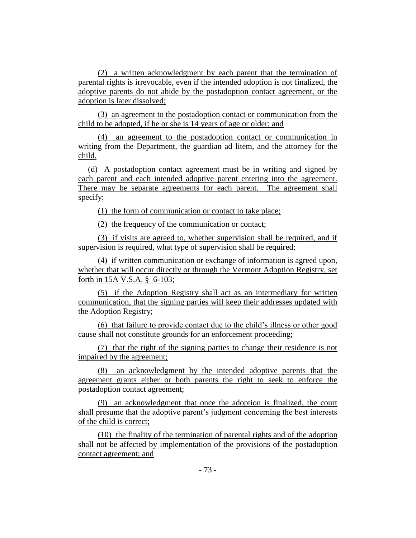(2) a written acknowledgment by each parent that the termination of parental rights is irrevocable, even if the intended adoption is not finalized, the adoptive parents do not abide by the postadoption contact agreement, or the adoption is later dissolved;

(3) an agreement to the postadoption contact or communication from the child to be adopted, if he or she is 14 years of age or older; and

(4) an agreement to the postadoption contact or communication in writing from the Department, the guardian ad litem, and the attorney for the child.

(d) A postadoption contact agreement must be in writing and signed by each parent and each intended adoptive parent entering into the agreement. There may be separate agreements for each parent. The agreement shall specify:

(1) the form of communication or contact to take place;

(2) the frequency of the communication or contact;

(3) if visits are agreed to, whether supervision shall be required, and if supervision is required, what type of supervision shall be required;

(4) if written communication or exchange of information is agreed upon, whether that will occur directly or through the Vermont Adoption Registry, set forth in 15A V.S.A. § 6-103;

(5) if the Adoption Registry shall act as an intermediary for written communication, that the signing parties will keep their addresses updated with the Adoption Registry;

(6) that failure to provide contact due to the child's illness or other good cause shall not constitute grounds for an enforcement proceeding;

(7) that the right of the signing parties to change their residence is not impaired by the agreement;

(8) an acknowledgment by the intended adoptive parents that the agreement grants either or both parents the right to seek to enforce the postadoption contact agreement;

(9) an acknowledgment that once the adoption is finalized, the court shall presume that the adoptive parent's judgment concerning the best interests of the child is correct;

(10) the finality of the termination of parental rights and of the adoption shall not be affected by implementation of the provisions of the postadoption contact agreement; and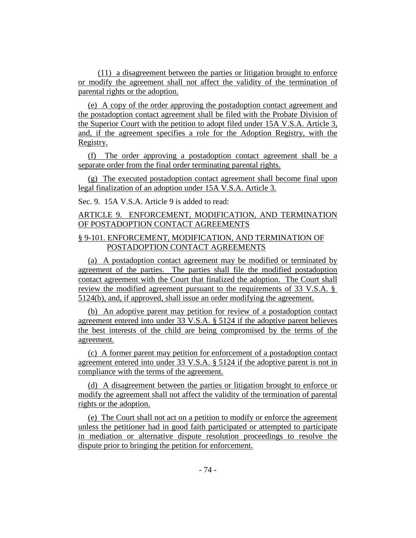(11) a disagreement between the parties or litigation brought to enforce or modify the agreement shall not affect the validity of the termination of parental rights or the adoption.

(e) A copy of the order approving the postadoption contact agreement and the postadoption contact agreement shall be filed with the Probate Division of the Superior Court with the petition to adopt filed under 15A V.S.A. Article 3, and, if the agreement specifies a role for the Adoption Registry, with the Registry.

(f) The order approving a postadoption contact agreement shall be a separate order from the final order terminating parental rights.

(g) The executed postadoption contact agreement shall become final upon legal finalization of an adoption under 15A V.S.A. Article 3.

Sec. 9. 15A V.S.A. Article 9 is added to read:

## ARTICLE 9. ENFORCEMENT, MODIFICATION, AND TERMINATION OF POSTADOPTION CONTACT AGREEMENTS

## § 9-101. ENFORCEMENT, MODIFICATION, AND TERMINATION OF POSTADOPTION CONTACT AGREEMENTS

(a) A postadoption contact agreement may be modified or terminated by agreement of the parties. The parties shall file the modified postadoption contact agreement with the Court that finalized the adoption. The Court shall review the modified agreement pursuant to the requirements of 33 V.S.A. § 5124(b), and, if approved, shall issue an order modifying the agreement.

(b) An adoptive parent may petition for review of a postadoption contact agreement entered into under 33 V.S.A. § 5124 if the adoptive parent believes the best interests of the child are being compromised by the terms of the agreement.

(c) A former parent may petition for enforcement of a postadoption contact agreement entered into under 33 V.S.A. § 5124 if the adoptive parent is not in compliance with the terms of the agreement.

(d) A disagreement between the parties or litigation brought to enforce or modify the agreement shall not affect the validity of the termination of parental rights or the adoption.

(e) The Court shall not act on a petition to modify or enforce the agreement unless the petitioner had in good faith participated or attempted to participate in mediation or alternative dispute resolution proceedings to resolve the dispute prior to bringing the petition for enforcement.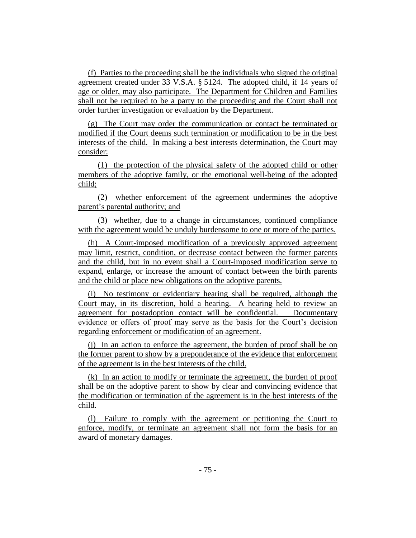(f) Parties to the proceeding shall be the individuals who signed the original agreement created under 33 V.S.A. § 5124. The adopted child, if 14 years of age or older, may also participate. The Department for Children and Families shall not be required to be a party to the proceeding and the Court shall not order further investigation or evaluation by the Department.

(g) The Court may order the communication or contact be terminated or modified if the Court deems such termination or modification to be in the best interests of the child. In making a best interests determination, the Court may consider:

(1) the protection of the physical safety of the adopted child or other members of the adoptive family, or the emotional well-being of the adopted child;

(2) whether enforcement of the agreement undermines the adoptive parent's parental authority; and

(3) whether, due to a change in circumstances, continued compliance with the agreement would be unduly burdensome to one or more of the parties.

(h) A Court-imposed modification of a previously approved agreement may limit, restrict, condition, or decrease contact between the former parents and the child, but in no event shall a Court-imposed modification serve to expand, enlarge, or increase the amount of contact between the birth parents and the child or place new obligations on the adoptive parents.

(i) No testimony or evidentiary hearing shall be required, although the Court may, in its discretion, hold a hearing. A hearing held to review an agreement for postadoption contact will be confidential. Documentary evidence or offers of proof may serve as the basis for the Court's decision regarding enforcement or modification of an agreement.

(j) In an action to enforce the agreement, the burden of proof shall be on the former parent to show by a preponderance of the evidence that enforcement of the agreement is in the best interests of the child.

(k) In an action to modify or terminate the agreement, the burden of proof shall be on the adoptive parent to show by clear and convincing evidence that the modification or termination of the agreement is in the best interests of the child.

(l) Failure to comply with the agreement or petitioning the Court to enforce, modify, or terminate an agreement shall not form the basis for an award of monetary damages.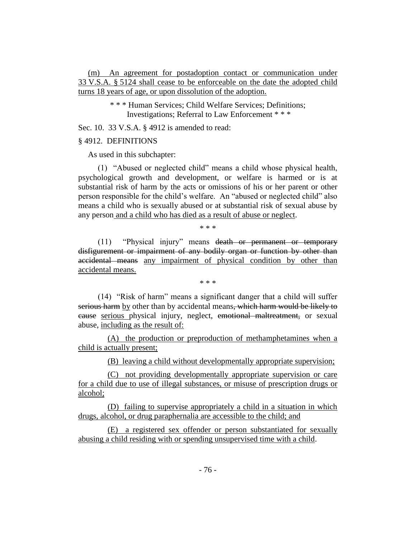(m) An agreement for postadoption contact or communication under 33 V.S.A. § 5124 shall cease to be enforceable on the date the adopted child turns 18 years of age, or upon dissolution of the adoption.

> \* \* \* Human Services; Child Welfare Services; Definitions; Investigations; Referral to Law Enforcement \* \* \*

Sec. 10. 33 V.S.A. § 4912 is amended to read:

#### § 4912. DEFINITIONS

As used in this subchapter:

(1) "Abused or neglected child" means a child whose physical health, psychological growth and development, or welfare is harmed or is at substantial risk of harm by the acts or omissions of his or her parent or other person responsible for the child's welfare. An "abused or neglected child" also means a child who is sexually abused or at substantial risk of sexual abuse by any person and a child who has died as a result of abuse or neglect.

\* \* \*

(11) "Physical injury" means death or permanent or temporary disfigurement or impairment of any bodily organ or function by other than accidental means any impairment of physical condition by other than accidental means.

\* \* \*

(14) "Risk of harm" means a significant danger that a child will suffer serious harm by other than by accidental means, which harm would be likely to cause serious physical injury, neglect, emotional maltreatment, or sexual abuse, including as the result of:

(A) the production or preproduction of methamphetamines when a child is actually present;

(B) leaving a child without developmentally appropriate supervision;

(C) not providing developmentally appropriate supervision or care for a child due to use of illegal substances, or misuse of prescription drugs or alcohol;

(D) failing to supervise appropriately a child in a situation in which drugs, alcohol, or drug paraphernalia are accessible to the child; and

(E) a registered sex offender or person substantiated for sexually abusing a child residing with or spending unsupervised time with a child.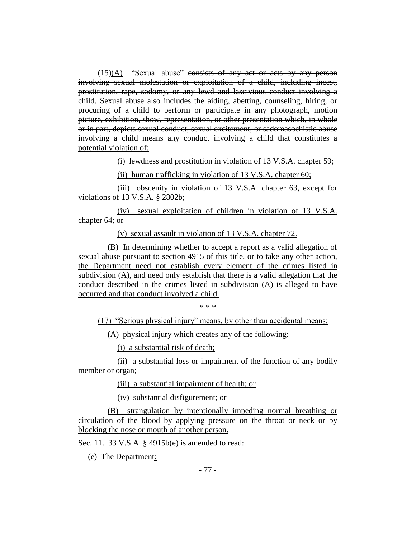$(15)(A)$  "Sexual abuse" consists of any act or acts by any person involving sexual molestation or exploitation of a child, including incest, prostitution, rape, sodomy, or any lewd and lascivious conduct involving a child. Sexual abuse also includes the aiding, abetting, counseling, hiring, or procuring of a child to perform or participate in any photograph, motion picture, exhibition, show, representation, or other presentation which, in whole or in part, depicts sexual conduct, sexual excitement, or sadomasochistic abuse involving a child means any conduct involving a child that constitutes a potential violation of:

(i) lewdness and prostitution in violation of 13 V.S.A. chapter 59;

(ii) human trafficking in violation of 13 V.S.A. chapter 60;

(iii) obscenity in violation of 13 V.S.A. chapter 63, except for violations of 13 V.S.A. § 2802b;

(iv) sexual exploitation of children in violation of 13 V.S.A. chapter 64; or

(v) sexual assault in violation of 13 V.S.A. chapter 72.

(B) In determining whether to accept a report as a valid allegation of sexual abuse pursuant to section 4915 of this title, or to take any other action, the Department need not establish every element of the crimes listed in subdivision (A), and need only establish that there is a valid allegation that the conduct described in the crimes listed in subdivision (A) is alleged to have occurred and that conduct involved a child.

\* \* \*

(17) "Serious physical injury" means, by other than accidental means:

(A) physical injury which creates any of the following:

(i) a substantial risk of death;

(ii) a substantial loss or impairment of the function of any bodily member or organ;

(iii) a substantial impairment of health; or

(iv) substantial disfigurement; or

(B) strangulation by intentionally impeding normal breathing or circulation of the blood by applying pressure on the throat or neck or by blocking the nose or mouth of another person.

Sec. 11. 33 V.S.A. § 4915b(e) is amended to read:

(e) The Department: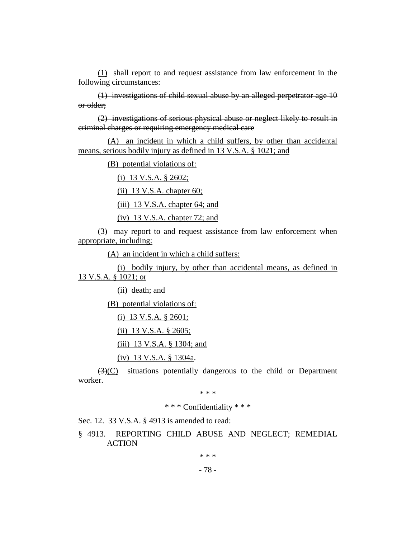(1) shall report to and request assistance from law enforcement in the following circumstances:

(1) investigations of child sexual abuse by an alleged perpetrator age 10 or older;

(2) investigations of serious physical abuse or neglect likely to result in criminal charges or requiring emergency medical care

(A) an incident in which a child suffers, by other than accidental means, serious bodily injury as defined in 13 V.S.A. § 1021; and

(B) potential violations of:

(i) 13 V.S.A. § 2602;

(ii) 13 V.S.A. chapter 60;

(iii) 13 V.S.A. chapter 64; and

(iv) 13 V.S.A. chapter 72; and

(3) may report to and request assistance from law enforcement when appropriate, including:

(A) an incident in which a child suffers:

(i) bodily injury, by other than accidental means, as defined in 13 V.S.A. § 1021; or

(ii) death; and

(B) potential violations of:

(i) 13 V.S.A. § 2601;

(ii) 13 V.S.A. § 2605;

(iii) 13 V.S.A. § 1304; and

(iv) 13 V.S.A. § 1304a.

(3)(C) situations potentially dangerous to the child or Department worker.

\* \* \*

\* \* \* Confidentiality \* \* \*

Sec. 12. 33 V.S.A. § 4913 is amended to read:

§ 4913. REPORTING CHILD ABUSE AND NEGLECT; REMEDIAL ACTION

\* \* \*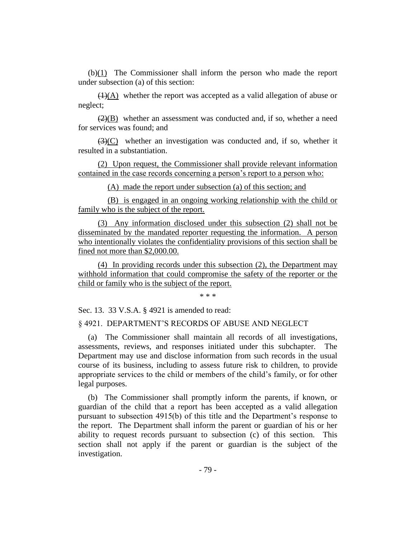(b)(1) The Commissioner shall inform the person who made the report under subsection (a) of this section:

 $\left(\frac{1}{A}\right)$  whether the report was accepted as a valid allegation of abuse or neglect;

 $(2)(B)$  whether an assessment was conducted and, if so, whether a need for services was found; and

 $(3)(C)$  whether an investigation was conducted and, if so, whether it resulted in a substantiation.

(2) Upon request, the Commissioner shall provide relevant information contained in the case records concerning a person's report to a person who:

(A) made the report under subsection (a) of this section; and

(B) is engaged in an ongoing working relationship with the child or family who is the subject of the report.

(3) Any information disclosed under this subsection (2) shall not be disseminated by the mandated reporter requesting the information. A person who intentionally violates the confidentiality provisions of this section shall be fined not more than \$2,000.00.

(4) In providing records under this subsection (2), the Department may withhold information that could compromise the safety of the reporter or the child or family who is the subject of the report.

\* \* \*

Sec. 13. 33 V.S.A. § 4921 is amended to read:

§ 4921. DEPARTMENT'S RECORDS OF ABUSE AND NEGLECT

(a) The Commissioner shall maintain all records of all investigations, assessments, reviews, and responses initiated under this subchapter. The Department may use and disclose information from such records in the usual course of its business, including to assess future risk to children, to provide appropriate services to the child or members of the child's family, or for other legal purposes.

(b) The Commissioner shall promptly inform the parents, if known, or guardian of the child that a report has been accepted as a valid allegation pursuant to subsection 4915(b) of this title and the Department's response to the report. The Department shall inform the parent or guardian of his or her ability to request records pursuant to subsection (c) of this section. This section shall not apply if the parent or guardian is the subject of the investigation.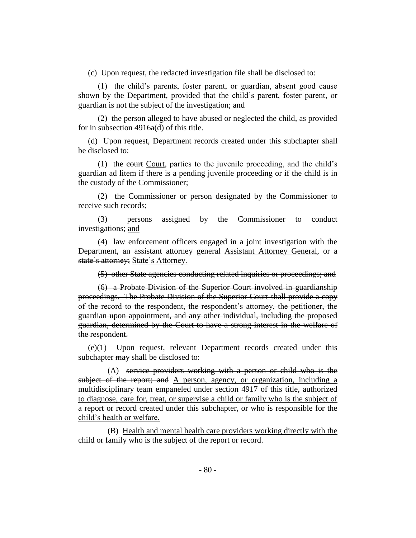(c) Upon request, the redacted investigation file shall be disclosed to:

(1) the child's parents, foster parent, or guardian, absent good cause shown by the Department, provided that the child's parent, foster parent, or guardian is not the subject of the investigation; and

(2) the person alleged to have abused or neglected the child, as provided for in subsection 4916a(d) of this title.

(d) Upon request, Department records created under this subchapter shall be disclosed to:

(1) the  $\epsilon$  court, parties to the juvenile proceeding, and the child's guardian ad litem if there is a pending juvenile proceeding or if the child is in the custody of the Commissioner;

(2) the Commissioner or person designated by the Commissioner to receive such records;

(3) persons assigned by the Commissioner to conduct investigations; and

(4) law enforcement officers engaged in a joint investigation with the Department, an assistant attorney general Assistant Attorney General, or a state's attorney; State's Attorney.

(5) other State agencies conducting related inquiries or proceedings; and

(6) a Probate Division of the Superior Court involved in guardianship proceedings. The Probate Division of the Superior Court shall provide a copy of the record to the respondent, the respondent's attorney, the petitioner, the guardian upon appointment, and any other individual, including the proposed guardian, determined by the Court to have a strong interest in the welfare of the respondent.

(e)(1) Upon request, relevant Department records created under this subchapter may shall be disclosed to:

(A) service providers working with a person or child who is the subject of the report; and A person, agency, or organization, including a multidisciplinary team empaneled under section 4917 of this title, authorized to diagnose, care for, treat, or supervise a child or family who is the subject of a report or record created under this subchapter, or who is responsible for the child's health or welfare.

(B) Health and mental health care providers working directly with the child or family who is the subject of the report or record.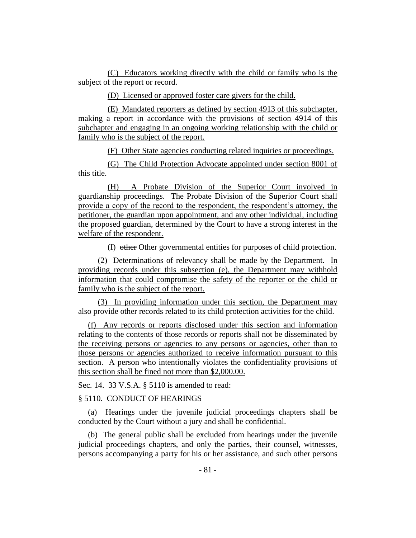(C) Educators working directly with the child or family who is the subject of the report or record.

(D) Licensed or approved foster care givers for the child.

(E) Mandated reporters as defined by section 4913 of this subchapter, making a report in accordance with the provisions of section 4914 of this subchapter and engaging in an ongoing working relationship with the child or family who is the subject of the report.

(F) Other State agencies conducting related inquiries or proceedings.

(G) The Child Protection Advocate appointed under section 8001 of this title.

(H) A Probate Division of the Superior Court involved in guardianship proceedings. The Probate Division of the Superior Court shall provide a copy of the record to the respondent, the respondent's attorney, the petitioner, the guardian upon appointment, and any other individual, including the proposed guardian, determined by the Court to have a strong interest in the welfare of the respondent.

(I) other Other governmental entities for purposes of child protection.

(2) Determinations of relevancy shall be made by the Department. In providing records under this subsection (e), the Department may withhold information that could compromise the safety of the reporter or the child or family who is the subject of the report.

(3) In providing information under this section, the Department may also provide other records related to its child protection activities for the child.

(f) Any records or reports disclosed under this section and information relating to the contents of those records or reports shall not be disseminated by the receiving persons or agencies to any persons or agencies, other than to those persons or agencies authorized to receive information pursuant to this section. A person who intentionally violates the confidentiality provisions of this section shall be fined not more than \$2,000.00.

Sec. 14. 33 V.S.A. § 5110 is amended to read:

#### § 5110. CONDUCT OF HEARINGS

(a) Hearings under the juvenile judicial proceedings chapters shall be conducted by the Court without a jury and shall be confidential.

(b) The general public shall be excluded from hearings under the juvenile judicial proceedings chapters, and only the parties, their counsel, witnesses, persons accompanying a party for his or her assistance, and such other persons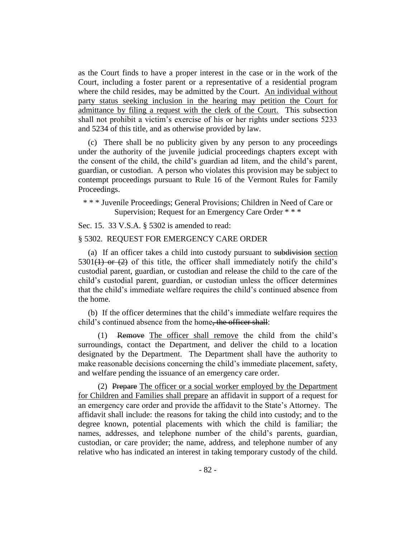as the Court finds to have a proper interest in the case or in the work of the Court, including a foster parent or a representative of a residential program where the child resides, may be admitted by the Court. An individual without party status seeking inclusion in the hearing may petition the Court for admittance by filing a request with the clerk of the Court. This subsection shall not prohibit a victim's exercise of his or her rights under sections 5233 and 5234 of this title, and as otherwise provided by law.

(c) There shall be no publicity given by any person to any proceedings under the authority of the juvenile judicial proceedings chapters except with the consent of the child, the child's guardian ad litem, and the child's parent, guardian, or custodian. A person who violates this provision may be subject to contempt proceedings pursuant to Rule 16 of the Vermont Rules for Family Proceedings.

\* \* \* Juvenile Proceedings; General Provisions; Children in Need of Care or Supervision; Request for an Emergency Care Order \* \* \*

Sec. 15. 33 V.S.A. § 5302 is amended to read:

#### § 5302. REQUEST FOR EMERGENCY CARE ORDER

(a) If an officer takes a child into custody pursuant to subdivision section 5301( $\leftrightarrow$ ) or  $\leftrightarrow$  of this title, the officer shall immediately notify the child's custodial parent, guardian, or custodian and release the child to the care of the child's custodial parent, guardian, or custodian unless the officer determines that the child's immediate welfare requires the child's continued absence from the home.

(b) If the officer determines that the child's immediate welfare requires the child's continued absence from the home, the officer shall:

(1) Remove The officer shall remove the child from the child's surroundings, contact the Department, and deliver the child to a location designated by the Department. The Department shall have the authority to make reasonable decisions concerning the child's immediate placement, safety, and welfare pending the issuance of an emergency care order.

(2) Prepare The officer or a social worker employed by the Department for Children and Families shall prepare an affidavit in support of a request for an emergency care order and provide the affidavit to the State's Attorney. The affidavit shall include: the reasons for taking the child into custody; and to the degree known, potential placements with which the child is familiar; the names, addresses, and telephone number of the child's parents, guardian, custodian, or care provider; the name, address, and telephone number of any relative who has indicated an interest in taking temporary custody of the child.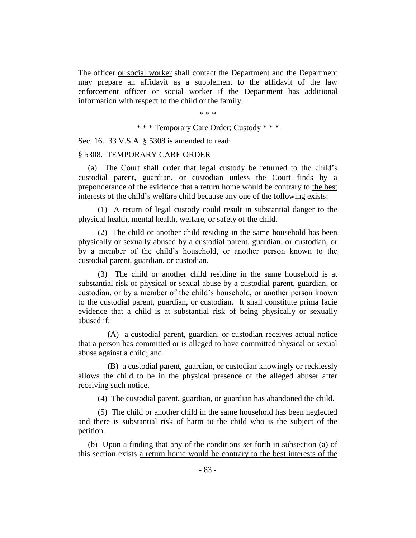The officer or social worker shall contact the Department and the Department may prepare an affidavit as a supplement to the affidavit of the law enforcement officer or social worker if the Department has additional information with respect to the child or the family.

\* \* \*

\* \* \* Temporary Care Order; Custody \* \* \*

Sec. 16. 33 V.S.A. § 5308 is amended to read:

#### § 5308. TEMPORARY CARE ORDER

(a) The Court shall order that legal custody be returned to the child's custodial parent, guardian, or custodian unless the Court finds by a preponderance of the evidence that a return home would be contrary to the best interests of the child's welfare child because any one of the following exists:

(1) A return of legal custody could result in substantial danger to the physical health, mental health, welfare, or safety of the child.

(2) The child or another child residing in the same household has been physically or sexually abused by a custodial parent, guardian, or custodian, or by a member of the child's household, or another person known to the custodial parent, guardian, or custodian.

(3) The child or another child residing in the same household is at substantial risk of physical or sexual abuse by a custodial parent, guardian, or custodian, or by a member of the child's household, or another person known to the custodial parent, guardian, or custodian. It shall constitute prima facie evidence that a child is at substantial risk of being physically or sexually abused if:

(A) a custodial parent, guardian, or custodian receives actual notice that a person has committed or is alleged to have committed physical or sexual abuse against a child; and

(B) a custodial parent, guardian, or custodian knowingly or recklessly allows the child to be in the physical presence of the alleged abuser after receiving such notice.

(4) The custodial parent, guardian, or guardian has abandoned the child.

(5) The child or another child in the same household has been neglected and there is substantial risk of harm to the child who is the subject of the petition.

(b) Upon a finding that any of the conditions set forth in subsection (a) of this section exists a return home would be contrary to the best interests of the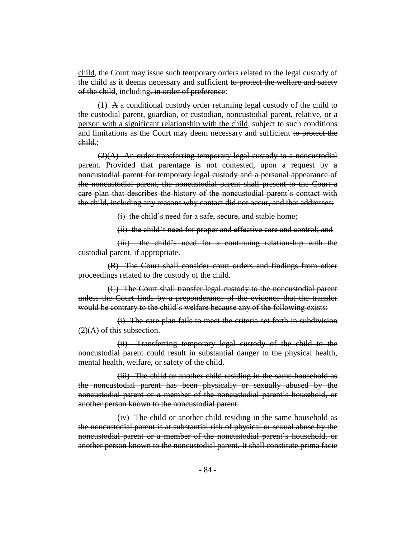child, the Court may issue such temporary orders related to the legal custody of the child as it deems necessary and sufficient to protect the welfare and safety of the child, including, in order of preference:

(1) A a conditional custody order returning legal custody of the child to the custodial parent, guardian, or custodian, noncustodial parent, relative, or a person with a significant relationship with the child, subject to such conditions and limitations as the Court may deem necessary and sufficient to protect the child.;

 $(2)(A)$  An order transferring temporary legal custody to a noncustodial parent. Provided that parentage is not contested, upon a request by a noncustodial parent for temporary legal custody and a personal appearance of the noncustodial parent, the noncustodial parent shall present to the Court a care plan that describes the history of the noncustodial parent's contact with the child, including any reasons why contact did not occur, and that addresses:

(i) the child's need for a safe, secure, and stable home;

(ii) the child's need for proper and effective care and control; and

(iii) the child's need for a continuing relationship with the custodial parent, if appropriate.

(B) The Court shall consider court orders and findings from other proceedings related to the custody of the child.

(C) The Court shall transfer legal custody to the noncustodial parent unless the Court finds by a preponderance of the evidence that the transfer would be contrary to the child's welfare because any of the following exists:

(i) The care plan fails to meet the criteria set forth in subdivision  $(2)$ (A) of this subsection.

(ii) Transferring temporary legal custody of the child to the noncustodial parent could result in substantial danger to the physical health, mental health, welfare, or safety of the child.

(iii) The child or another child residing in the same household as the noncustodial parent has been physically or sexually abused by the noncustodial parent or a member of the noncustodial parent's household, or another person known to the noncustodial parent.

(iv) The child or another child residing in the same household as the noncustodial parent is at substantial risk of physical or sexual abuse by the noncustodial parent or a member of the noncustodial parent's household, or another person known to the noncustodial parent. It shall constitute prima facie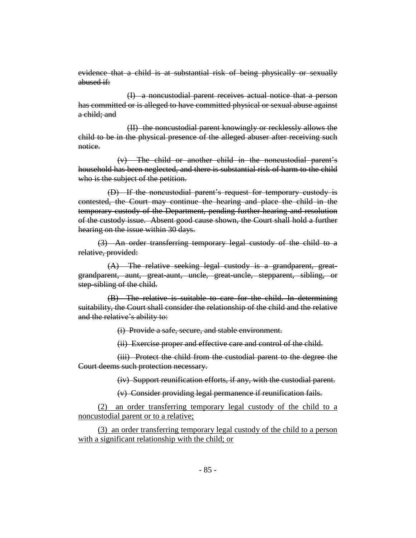evidence that a child is at substantial risk of being physically or sexually abused if:

(I) a noncustodial parent receives actual notice that a person has committed or is alleged to have committed physical or sexual abuse against a child; and

(II) the noncustodial parent knowingly or recklessly allows the child to be in the physical presence of the alleged abuser after receiving such notice.

(v) The child or another child in the noncustodial parent's household has been neglected, and there is substantial risk of harm to the child who is the subject of the petition.

(D) If the noncustodial parent's request for temporary custody is contested, the Court may continue the hearing and place the child in the temporary custody of the Department, pending further hearing and resolution of the custody issue. Absent good cause shown, the Court shall hold a further hearing on the issue within 30 days.

(3) An order transferring temporary legal custody of the child to a relative, provided:

(A) The relative seeking legal custody is a grandparent, greatgrandparent, aunt, great-aunt, uncle, great-uncle, stepparent, sibling, or step-sibling of the child.

(B) The relative is suitable to care for the child. In determining suitability, the Court shall consider the relationship of the child and the relative and the relative's ability to:

(i) Provide a safe, secure, and stable environment.

(ii) Exercise proper and effective care and control of the child.

(iii) Protect the child from the custodial parent to the degree the Court deems such protection necessary.

(iv) Support reunification efforts, if any, with the custodial parent.

(v) Consider providing legal permanence if reunification fails.

(2) an order transferring temporary legal custody of the child to a noncustodial parent or to a relative;

(3) an order transferring temporary legal custody of the child to a person with a significant relationship with the child; or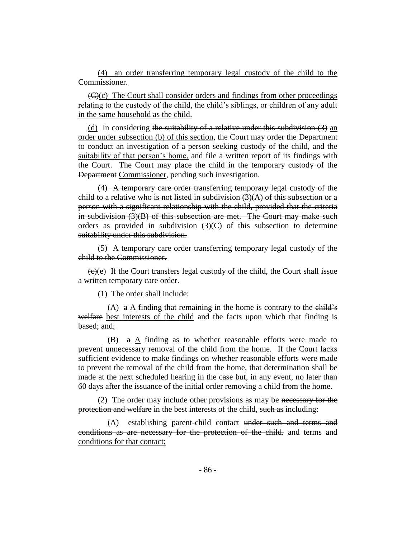(4) an order transferring temporary legal custody of the child to the Commissioner.

 $\left(\frac{f(x)}{c}\right)$ . The Court shall consider orders and findings from other proceedings relating to the custody of the child, the child's siblings, or children of any adult in the same household as the child.

(d) In considering the suitability of a relative under this subdivision  $(3)$  an order under subsection (b) of this section, the Court may order the Department to conduct an investigation of a person seeking custody of the child, and the suitability of that person's home, and file a written report of its findings with the Court. The Court may place the child in the temporary custody of the Department Commissioner, pending such investigation.

(4) A temporary care order transferring temporary legal custody of the child to a relative who is not listed in subdivision  $(3)(A)$  of this subsection or a person with a significant relationship with the child, provided that the criteria in subdivision (3)(B) of this subsection are met. The Court may make such orders as provided in subdivision  $(3)(C)$  of this subsection to determine suitability under this subdivision.

(5) A temporary care order transferring temporary legal custody of the child to the Commissioner.

 $(e)(e)$  If the Court transfers legal custody of the child, the Court shall issue a written temporary care order.

(1) The order shall include:

(A)  $\alpha$  A finding that remaining in the home is contrary to the child's welfare best interests of the child and the facts upon which that finding is based; and.

(B)  $a \Delta$  finding as to whether reasonable efforts were made to prevent unnecessary removal of the child from the home. If the Court lacks sufficient evidence to make findings on whether reasonable efforts were made to prevent the removal of the child from the home, that determination shall be made at the next scheduled hearing in the case but, in any event, no later than 60 days after the issuance of the initial order removing a child from the home.

(2) The order may include other provisions as may be necessary for the protection and welfare in the best interests of the child, such as including:

(A) establishing parent-child contact under such and terms and conditions as are necessary for the protection of the child. and terms and conditions for that contact;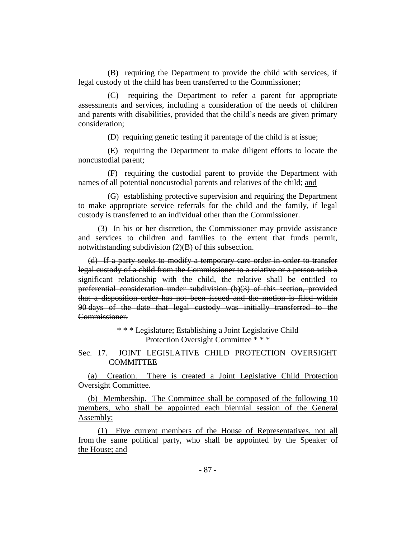(B) requiring the Department to provide the child with services, if legal custody of the child has been transferred to the Commissioner;

(C) requiring the Department to refer a parent for appropriate assessments and services, including a consideration of the needs of children and parents with disabilities, provided that the child's needs are given primary consideration;

(D) requiring genetic testing if parentage of the child is at issue;

(E) requiring the Department to make diligent efforts to locate the noncustodial parent;

(F) requiring the custodial parent to provide the Department with names of all potential noncustodial parents and relatives of the child; and

(G) establishing protective supervision and requiring the Department to make appropriate service referrals for the child and the family, if legal custody is transferred to an individual other than the Commissioner.

(3) In his or her discretion, the Commissioner may provide assistance and services to children and families to the extent that funds permit, notwithstanding subdivision (2)(B) of this subsection.

(d) If a party seeks to modify a temporary care order in order to transfer legal custody of a child from the Commissioner to a relative or a person with a significant relationship with the child, the relative shall be entitled to preferential consideration under subdivision (b)(3) of this section, provided that a disposition order has not been issued and the motion is filed within 90 days of the date that legal custody was initially transferred to the Commissioner.

> \* \* \* Legislature; Establishing a Joint Legislative Child Protection Oversight Committee \* \* \*

Sec. 17. JOINT LEGISLATIVE CHILD PROTECTION OVERSIGHT **COMMITTEE** 

(a) Creation. There is created a Joint Legislative Child Protection Oversight Committee.

(b) Membership. The Committee shall be composed of the following 10 members, who shall be appointed each biennial session of the General Assembly:

(1) Five current members of the House of Representatives, not all from the same political party, who shall be appointed by the Speaker of the House; and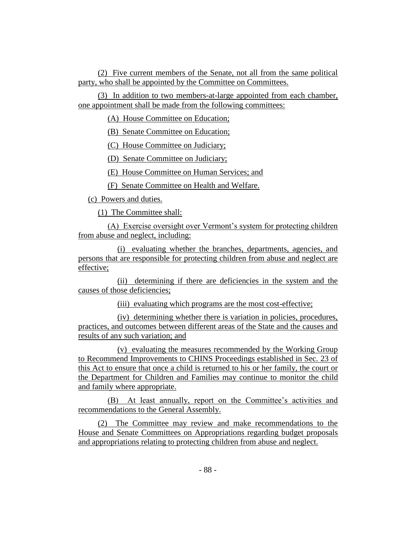(2) Five current members of the Senate, not all from the same political party, who shall be appointed by the Committee on Committees.

(3) In addition to two members-at-large appointed from each chamber, one appointment shall be made from the following committees:

(A) House Committee on Education;

(B) Senate Committee on Education;

(C) House Committee on Judiciary;

(D) Senate Committee on Judiciary;

(E) House Committee on Human Services; and

(F) Senate Committee on Health and Welfare.

(c) Powers and duties.

(1) The Committee shall:

(A) Exercise oversight over Vermont's system for protecting children from abuse and neglect, including:

(i) evaluating whether the branches, departments, agencies, and persons that are responsible for protecting children from abuse and neglect are effective;

(ii) determining if there are deficiencies in the system and the causes of those deficiencies;

(iii) evaluating which programs are the most cost-effective;

(iv) determining whether there is variation in policies, procedures, practices, and outcomes between different areas of the State and the causes and results of any such variation; and

(v) evaluating the measures recommended by the Working Group to Recommend Improvements to CHINS Proceedings established in Sec. 23 of this Act to ensure that once a child is returned to his or her family, the court or the Department for Children and Families may continue to monitor the child and family where appropriate.

(B) At least annually, report on the Committee's activities and recommendations to the General Assembly.

(2) The Committee may review and make recommendations to the House and Senate Committees on Appropriations regarding budget proposals and appropriations relating to protecting children from abuse and neglect.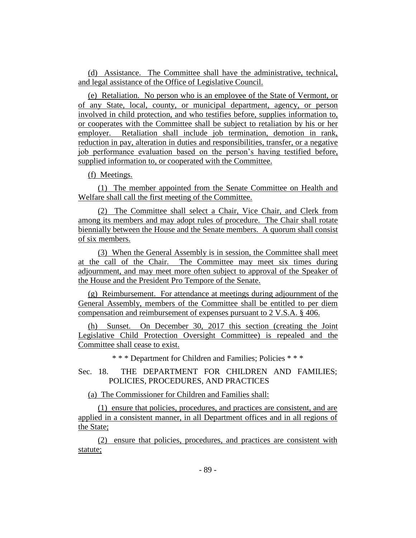(d) Assistance. The Committee shall have the administrative, technical, and legal assistance of the Office of Legislative Council.

(e) Retaliation. No person who is an employee of the State of Vermont, or of any State, local, county, or municipal department, agency, or person involved in child protection, and who testifies before, supplies information to, or cooperates with the Committee shall be subject to retaliation by his or her employer. Retaliation shall include job termination, demotion in rank, reduction in pay, alteration in duties and responsibilities, transfer, or a negative job performance evaluation based on the person's having testified before, supplied information to, or cooperated with the Committee.

(f) Meetings.

(1) The member appointed from the Senate Committee on Health and Welfare shall call the first meeting of the Committee.

(2) The Committee shall select a Chair, Vice Chair, and Clerk from among its members and may adopt rules of procedure. The Chair shall rotate biennially between the House and the Senate members. A quorum shall consist of six members.

(3) When the General Assembly is in session, the Committee shall meet at the call of the Chair. The Committee may meet six times during adjournment, and may meet more often subject to approval of the Speaker of the House and the President Pro Tempore of the Senate.

(g) Reimbursement. For attendance at meetings during adjournment of the General Assembly, members of the Committee shall be entitled to per diem compensation and reimbursement of expenses pursuant to 2 V.S.A. § 406.

(h) Sunset. On December 30, 2017 this section (creating the Joint Legislative Child Protection Oversight Committee) is repealed and the Committee shall cease to exist.

\* \* \* Department for Children and Families; Policies \* \* \*

Sec. 18. THE DEPARTMENT FOR CHILDREN AND FAMILIES; POLICIES, PROCEDURES, AND PRACTICES

(a) The Commissioner for Children and Families shall:

(1) ensure that policies, procedures, and practices are consistent, and are applied in a consistent manner, in all Department offices and in all regions of the State;

(2) ensure that policies, procedures, and practices are consistent with statute;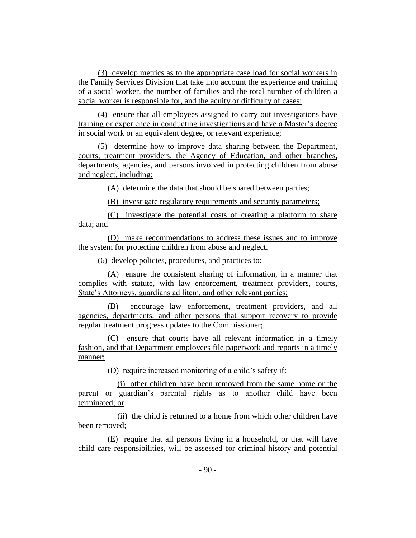(3) develop metrics as to the appropriate case load for social workers in the Family Services Division that take into account the experience and training of a social worker, the number of families and the total number of children a social worker is responsible for, and the acuity or difficulty of cases;

(4) ensure that all employees assigned to carry out investigations have training or experience in conducting investigations and have a Master's degree in social work or an equivalent degree, or relevant experience;

(5) determine how to improve data sharing between the Department, courts, treatment providers, the Agency of Education, and other branches, departments, agencies, and persons involved in protecting children from abuse and neglect, including:

(A) determine the data that should be shared between parties;

(B) investigate regulatory requirements and security parameters;

(C) investigate the potential costs of creating a platform to share data; and

(D) make recommendations to address these issues and to improve the system for protecting children from abuse and neglect.

(6) develop policies, procedures, and practices to:

(A) ensure the consistent sharing of information, in a manner that complies with statute, with law enforcement, treatment providers, courts, State's Attorneys, guardians ad litem, and other relevant parties;

(B) encourage law enforcement, treatment providers, and all agencies, departments, and other persons that support recovery to provide regular treatment progress updates to the Commissioner;

(C) ensure that courts have all relevant information in a timely fashion, and that Department employees file paperwork and reports in a timely manner;

(D) require increased monitoring of a child's safety if:

(i) other children have been removed from the same home or the parent or guardian's parental rights as to another child have been terminated; or

(ii) the child is returned to a home from which other children have been removed;

(E) require that all persons living in a household, or that will have child care responsibilities, will be assessed for criminal history and potential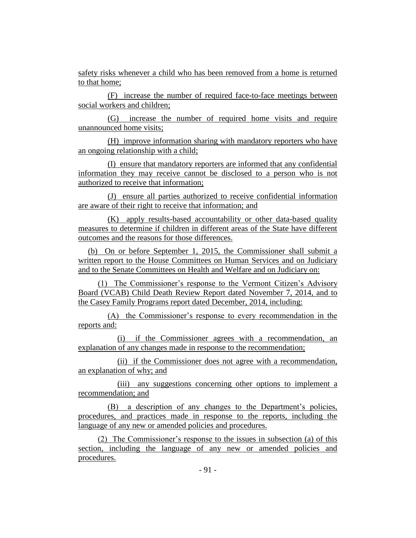safety risks whenever a child who has been removed from a home is returned to that home;

(F) increase the number of required face-to-face meetings between social workers and children;

(G) increase the number of required home visits and require unannounced home visits;

(H) improve information sharing with mandatory reporters who have an ongoing relationship with a child;

(I) ensure that mandatory reporters are informed that any confidential information they may receive cannot be disclosed to a person who is not authorized to receive that information;

(J) ensure all parties authorized to receive confidential information are aware of their right to receive that information; and

(K) apply results-based accountability or other data-based quality measures to determine if children in different areas of the State have different outcomes and the reasons for those differences.

(b) On or before September 1, 2015, the Commissioner shall submit a written report to the House Committees on Human Services and on Judiciary and to the Senate Committees on Health and Welfare and on Judiciary on:

(1) The Commissioner's response to the Vermont Citizen's Advisory Board (VCAB) Child Death Review Report dated November 7, 2014, and to the Casey Family Programs report dated December, 2014, including:

(A) the Commissioner's response to every recommendation in the reports and:

(i) if the Commissioner agrees with a recommendation, an explanation of any changes made in response to the recommendation;

(ii) if the Commissioner does not agree with a recommendation, an explanation of why; and

(iii) any suggestions concerning other options to implement a recommendation; and

(B) a description of any changes to the Department's policies, procedures, and practices made in response to the reports, including the language of any new or amended policies and procedures.

(2) The Commissioner's response to the issues in subsection (a) of this section, including the language of any new or amended policies and procedures.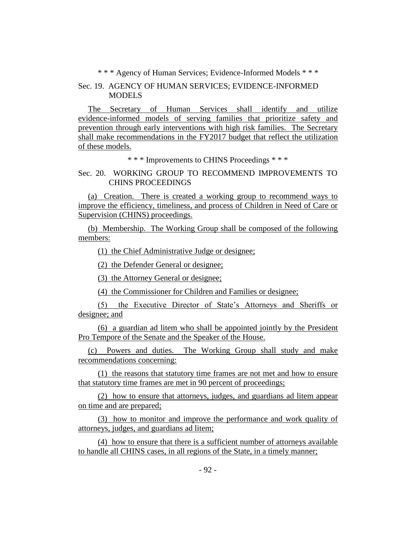\* \* \* Agency of Human Services; Evidence-Informed Models \* \* \*

## Sec. 19. AGENCY OF HUMAN SERVICES; EVIDENCE-INFORMED MODELS

The Secretary of Human Services shall identify and utilize evidence-informed models of serving families that prioritize safety and prevention through early interventions with high risk families. The Secretary shall make recommendations in the FY2017 budget that reflect the utilization of these models.

\* \* \* Improvements to CHINS Proceedings \* \* \*

## Sec. 20. WORKING GROUP TO RECOMMEND IMPROVEMENTS TO CHINS PROCEEDINGS

(a) Creation. There is created a working group to recommend ways to improve the efficiency, timeliness, and process of Children in Need of Care or Supervision (CHINS) proceedings.

(b) Membership. The Working Group shall be composed of the following members:

(1) the Chief Administrative Judge or designee;

(2) the Defender General or designee;

(3) the Attorney General or designee;

(4) the Commissioner for Children and Families or designee;

(5) the Executive Director of State's Attorneys and Sheriffs or designee; and

(6) a guardian ad litem who shall be appointed jointly by the President Pro Tempore of the Senate and the Speaker of the House.

(c) Powers and duties. The Working Group shall study and make recommendations concerning:

(1) the reasons that statutory time frames are not met and how to ensure that statutory time frames are met in 90 percent of proceedings;

(2) how to ensure that attorneys, judges, and guardians ad litem appear on time and are prepared;

(3) how to monitor and improve the performance and work quality of attorneys, judges, and guardians ad litem;

(4) how to ensure that there is a sufficient number of attorneys available to handle all CHINS cases, in all regions of the State, in a timely manner;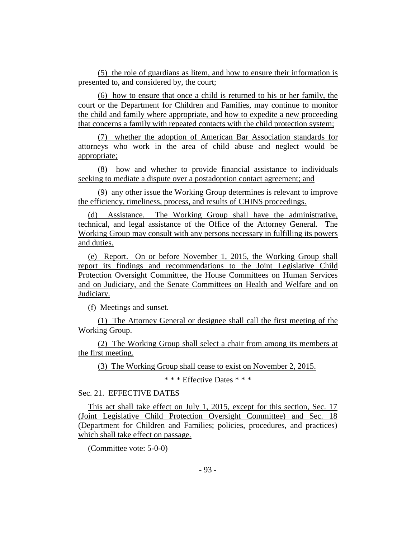(5) the role of guardians as litem, and how to ensure their information is presented to, and considered by, the court;

(6) how to ensure that once a child is returned to his or her family, the court or the Department for Children and Families, may continue to monitor the child and family where appropriate, and how to expedite a new proceeding that concerns a family with repeated contacts with the child protection system;

(7) whether the adoption of American Bar Association standards for attorneys who work in the area of child abuse and neglect would be appropriate;

(8) how and whether to provide financial assistance to individuals seeking to mediate a dispute over a postadoption contact agreement; and

(9) any other issue the Working Group determines is relevant to improve the efficiency, timeliness, process, and results of CHINS proceedings.

(d) Assistance. The Working Group shall have the administrative, technical, and legal assistance of the Office of the Attorney General. The Working Group may consult with any persons necessary in fulfilling its powers and duties.

(e) Report. On or before November 1, 2015, the Working Group shall report its findings and recommendations to the Joint Legislative Child Protection Oversight Committee, the House Committees on Human Services and on Judiciary, and the Senate Committees on Health and Welfare and on Judiciary.

(f) Meetings and sunset.

(1) The Attorney General or designee shall call the first meeting of the Working Group.

(2) The Working Group shall select a chair from among its members at the first meeting.

(3) The Working Group shall cease to exist on November 2, 2015.

\* \* \* Effective Dates \* \* \*

## Sec. 21. EFFECTIVE DATES

This act shall take effect on July 1, 2015, except for this section, Sec. 17 (Joint Legislative Child Protection Oversight Committee) and Sec. 18 (Department for Children and Families; policies, procedures, and practices) which shall take effect on passage.

(Committee vote: 5-0-0)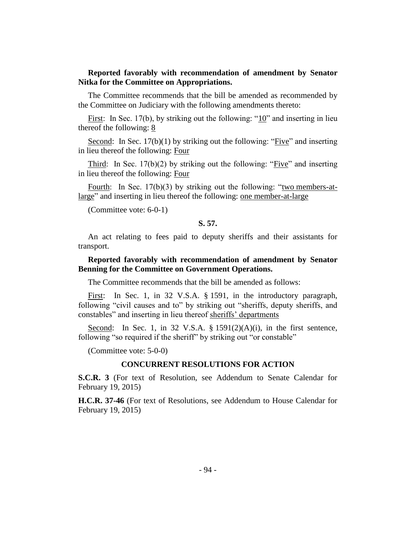## **Reported favorably with recommendation of amendment by Senator Nitka for the Committee on Appropriations.**

The Committee recommends that the bill be amended as recommended by the Committee on Judiciary with the following amendments thereto:

First: In Sec. 17(b), by striking out the following: " $10$ " and inserting in lieu thereof the following: 8

Second: In Sec. 17(b)(1) by striking out the following: "Five" and inserting in lieu thereof the following: Four

Third: In Sec. 17(b)(2) by striking out the following: "Five" and inserting in lieu thereof the following: Four

Fourth: In Sec.  $17(b)(3)$  by striking out the following: "two members-atlarge" and inserting in lieu thereof the following: one member-at-large

(Committee vote: 6-0-1)

#### **S. 57.**

An act relating to fees paid to deputy sheriffs and their assistants for transport.

## **Reported favorably with recommendation of amendment by Senator Benning for the Committee on Government Operations.**

The Committee recommends that the bill be amended as follows:

First: In Sec. 1, in 32 V.S.A. § 1591, in the introductory paragraph, following "civil causes and to" by striking out "sheriffs, deputy sheriffs, and constables" and inserting in lieu thereof sheriffs' departments

Second: In Sec. 1, in 32 V.S.A. § 1591(2)(A)(i), in the first sentence, following "so required if the sheriff" by striking out "or constable"

(Committee vote: 5-0-0)

#### **CONCURRENT RESOLUTIONS FOR ACTION**

**S.C.R. 3** (For text of Resolution, see Addendum to Senate Calendar for February 19, 2015)

**H.C.R. 37-46** (For text of Resolutions, see Addendum to House Calendar for February 19, 2015)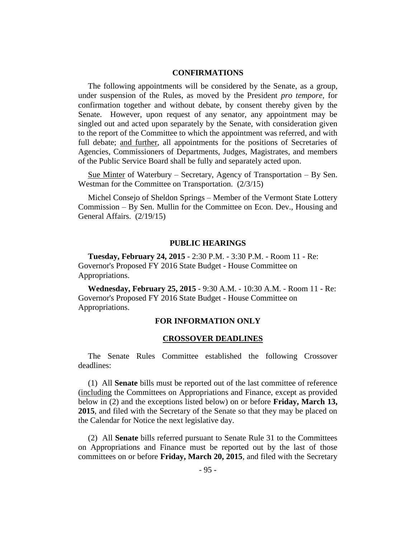#### **CONFIRMATIONS**

The following appointments will be considered by the Senate, as a group, under suspension of the Rules, as moved by the President *pro tempore,* for confirmation together and without debate, by consent thereby given by the Senate. However, upon request of any senator, any appointment may be singled out and acted upon separately by the Senate, with consideration given to the report of the Committee to which the appointment was referred, and with full debate; and further, all appointments for the positions of Secretaries of Agencies, Commissioners of Departments, Judges, Magistrates, and members of the Public Service Board shall be fully and separately acted upon.

Sue Minter of Waterbury – Secretary, Agency of Transportation – By Sen. Westman for the Committee on Transportation. (2/3/15)

Michel Consejo of Sheldon Springs – Member of the Vermont State Lottery Commission – By Sen. Mullin for the Committee on Econ. Dev., Housing and General Affairs. (2/19/15)

#### **PUBLIC HEARINGS**

**Tuesday, February 24, 2015** - 2:30 P.M. - 3:30 P.M. - Room 11 - Re: Governor's Proposed FY 2016 State Budget - House Committee on Appropriations.

**Wednesday, February 25, 2015** - 9:30 A.M. - 10:30 A.M. - Room 11 - Re: Governor's Proposed FY 2016 State Budget - House Committee on Appropriations.

#### **FOR INFORMATION ONLY**

#### **CROSSOVER DEADLINES**

The Senate Rules Committee established the following Crossover deadlines:

(1) All **Senate** bills must be reported out of the last committee of reference (including the Committees on Appropriations and Finance, except as provided below in (2) and the exceptions listed below) on or before **Friday, March 13, 2015**, and filed with the Secretary of the Senate so that they may be placed on the Calendar for Notice the next legislative day.

(2) All **Senate** bills referred pursuant to Senate Rule 31 to the Committees on Appropriations and Finance must be reported out by the last of those committees on or before **Friday, March 20, 2015**, and filed with the Secretary